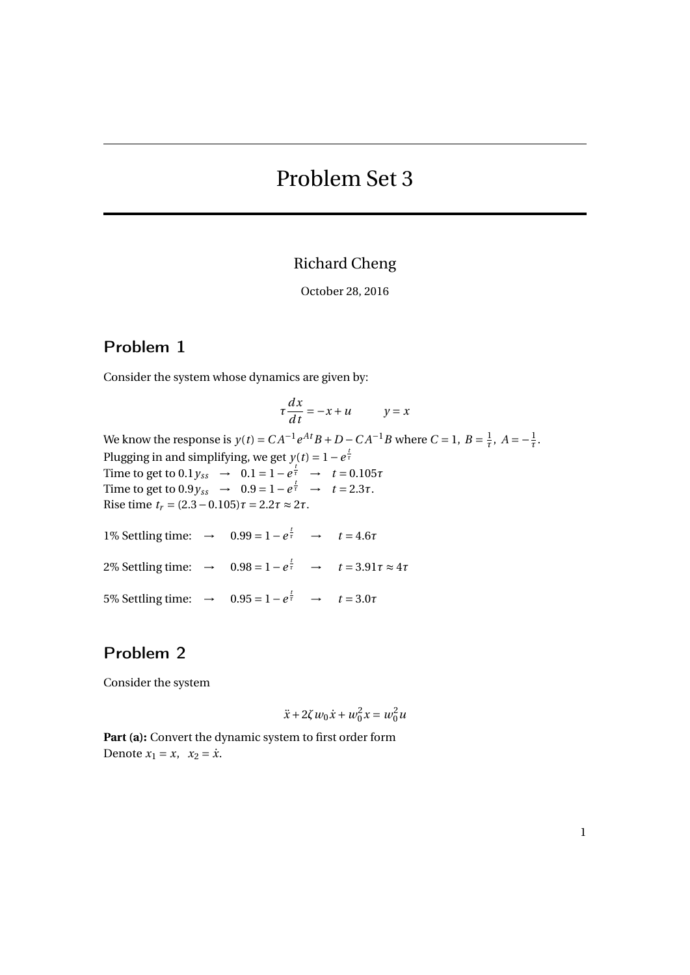# Problem Set 3

## Richard Cheng

October 28, 2016

### Problem 1

Consider the system whose dynamics are given by:

$$
\tau \frac{dx}{dt} = -x + u \qquad \quad y = x
$$

We know the response is  $y(t) = CA^{-1}e^{At}B + D - CA^{-1}B$  where  $C = 1$ ,  $B = \frac{1}{\tau}$  $\frac{1}{\tau}$ *, A* =  $-\frac{1}{\tau}$ *τ* . Plugging in and simplifying, we get  $y(t) = 1 - e^{\frac{t}{\tau}}$ Time to get to  $0.1 y_{ss} \to 0.1 = 1 - e^{\frac{t}{\tau}} \to t = 0.105\tau$ Time to get to  $0.9y_{ss} \to 0.9 = 1 - e^{\frac{t}{\tau}} \to t = 2.3\tau$ . Rise time *t<sup>r</sup>* = (2.3−0.105)*τ* = 2.2*τ* ≈ 2*τ*.

1% Settling time:  $\rightarrow$  0.99 = 1 -  $e^{\frac{t}{\tau}}$   $\rightarrow$   $t = 4.6\tau$ 2% Settling time:  $\rightarrow$  0.98 = 1 -  $e^{\frac{t}{\tau}}$   $\rightarrow$   $t = 3.91\tau \approx 4\tau$ 5% Settling time: → 0.95 = 1 –  $e^{\frac{t}{\tau}}$  →  $t = 3.0\tau$ 

# Problem 2

Consider the system

$$
\ddot{x} + 2\zeta w_0 \dot{x} + w_0^2 x = w_0^2 u
$$

Part (a): Convert the dynamic system to first order form Denote  $x_1 = x$ ,  $x_2 = \dot{x}$ .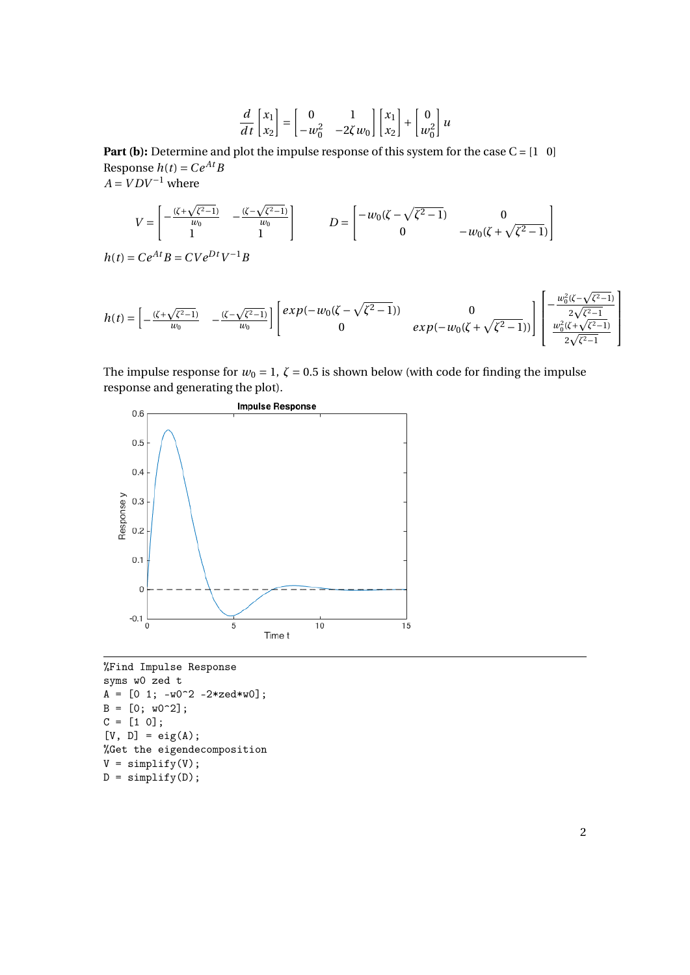$$
\frac{d}{dt}\begin{bmatrix} x_1 \\ x_2 \end{bmatrix} = \begin{bmatrix} 0 & 1 \\ -w_0^2 & -2\zeta w_0 \end{bmatrix} \begin{bmatrix} x_1 \\ x_2 \end{bmatrix} + \begin{bmatrix} 0 \\ w_0^2 \end{bmatrix} u
$$

**Part (b):** Determine and plot the impulse response of this system for the case C = [1 0] Response  $h(t) = Ce^{At}B$  $A = VDV^{-1}$  where

$$
V = \begin{bmatrix} -\frac{(\zeta + \sqrt{\zeta^2 - 1})}{w_0} & -\frac{(\zeta - \sqrt{\zeta^2 - 1})}{w_0} \\ 1 & 1 \end{bmatrix} \qquad D = \begin{bmatrix} -w_0(\zeta - \sqrt{\zeta^2 - 1}) & 0 \\ 0 & -w_0(\zeta + \sqrt{\zeta^2 - 1}) \end{bmatrix}
$$

$$
h(t) = Ce^{At}B = CVe^{Dt}V^{-1}B
$$

$$
h(t) = \begin{bmatrix} -\frac{(\zeta + \sqrt{\zeta^2 - 1})}{w_0} & -\frac{(\zeta - \sqrt{\zeta^2 - 1})}{w_0} \end{bmatrix} \begin{bmatrix} exp(-w_0(\zeta - \sqrt{\zeta^2 - 1})) & 0 \\ 0 & exp(-w_0(\zeta + \sqrt{\zeta^2 - 1})) \end{bmatrix} \begin{bmatrix} -\frac{w_0^2(\zeta - \sqrt{\zeta^2 - 1})}{2\sqrt{\zeta^2 - 1}} \\ \frac{w_0^2(\zeta + \sqrt{\zeta^2 - 1})}{2\sqrt{\zeta^2 - 1}} \end{bmatrix}
$$

The impulse response for  $w_0 = 1$ ,  $\zeta = 0.5$  is shown below (with code for finding the impulse response and generating the plot).



%Find Impulse Response syms w0 zed t  $A = [0 1; -w0^2 -2*zed*w0];$  $B = [0; w0^2];$  $C = [1 0];$  $[V, D] = eig(A);$ %Get the eigendecomposition  $V =$  simplify(V);  $D = \text{simplify}(D);$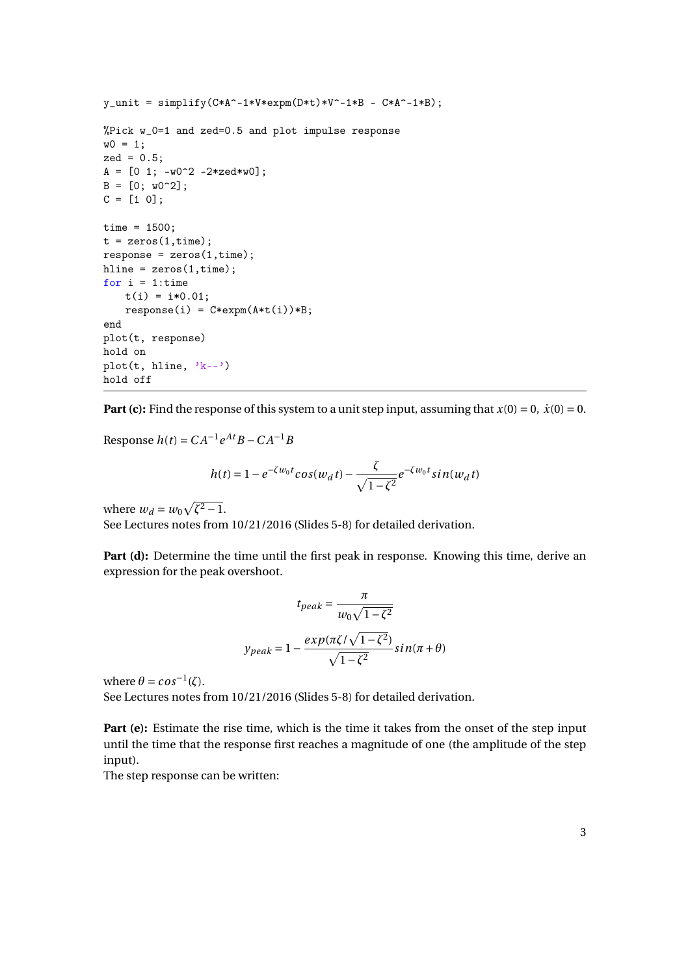```
y\_unit = simplify(C*A^c-1*V*expm(D*t)*V^c-1*B - C*A^c-1*B);%Pick w_0=1 and zed=0.5 and plot impulse response
w0 = 1;zed = 0.5;
A = [0 1; -w0^2 -2*zed*w0];B = [0; w0^2];C = [1 \ 0];time = 1500;
t = zeros(1, time);response = zeros(1, time);hline = zeros(1, time);
for i = 1:time
   t(i) = i*0.01;response(i) = C*expm(A*t(i))*B;end
plot(t, response)
hold on
plot(t, hline, 'k--')hold off
```
**Part (c):** Find the response of this system to a unit step input, assuming that  $x(0) = 0$ ,  $\dot{x}(0) = 0$ .

**Response**  $h(t) = CA^{-1}e^{At}B - CA^{-1}B$ 

$$
h(t) = 1 - e^{-\zeta w_0 t} \cos(w_d t) - \frac{\zeta}{\sqrt{1 - \zeta^2}} e^{-\zeta w_0 t} \sin(w_d t)
$$

where  $w_d = w_0 \sqrt{\zeta^2 - 1}$ .

See Lectures notes from 10/21/2016 (Slides 5-8) for detailed derivation.

Part (d): Determine the time until the first peak in response. Knowing this time, derive an expression for the peak overshoot.

$$
t_{peak} = \frac{\pi}{w_0 \sqrt{1 - \zeta^2}}
$$

$$
y_{peak} = 1 - \frac{exp(\pi \zeta / \sqrt{1 - \zeta^2})}{\sqrt{1 - \zeta^2}} sin(\pi + \theta)
$$

where  $\theta = \cos^{-1}(\zeta)$ .

See Lectures notes from 10/21/2016 (Slides 5-8) for detailed derivation.

Part (e): Estimate the rise time, which is the time it takes from the onset of the step input until the time that the response first reaches a magnitude of one (the amplitude of the step input).

The step response can be written: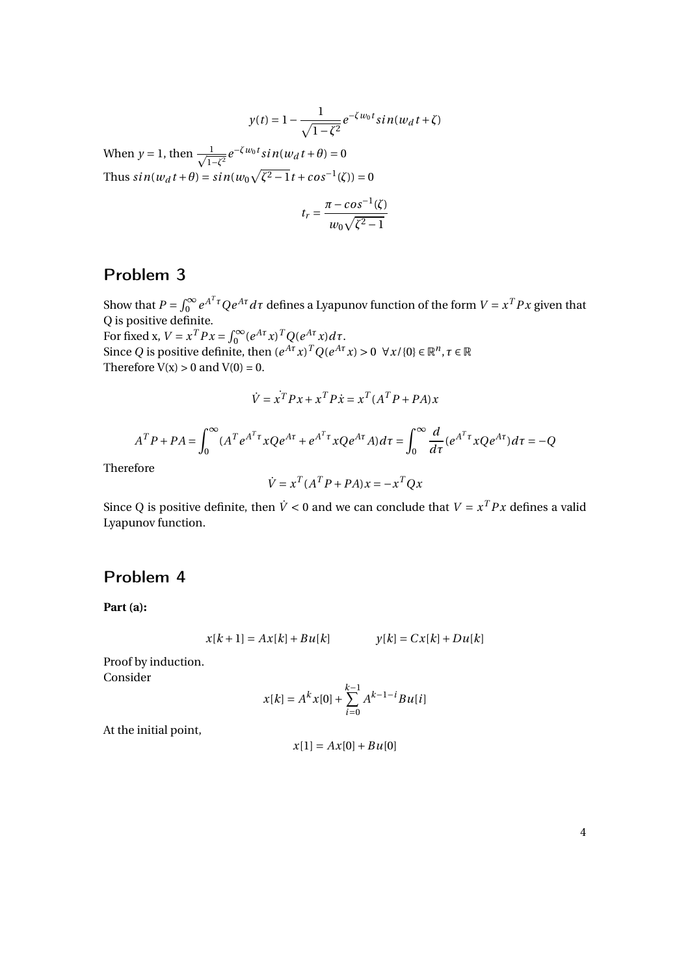$$
y(t) = 1 - \frac{1}{\sqrt{1 - \zeta^2}} e^{-\zeta w_0 t} \sin(w_d t + \zeta)
$$

When  $y = 1$ , then  $\frac{1}{\sqrt{2}}$  $\frac{1}{1-\zeta^2}e^{-\zeta w_0 t} \sin(w_d t + \theta) = 0$ Thus  $sin(w_d t + \theta) = sin(w_0 \sqrt{\zeta^2 - 1} t + cos^{-1}(\zeta)) = 0$ 

$$
t_r = \frac{\pi - \cos^{-1}(\zeta)}{w_0 \sqrt{\zeta^2 - 1}}
$$

# Problem 3

Show that  $P = \int_0^\infty e^{A^T \tau} Q e^{A \tau} d\tau$  defines a Lyapunov function of the form  $V = x^T P x$  given that Q is positive definite.

For fixed x,  $V = x^T P x = \int_0^\infty (e^{At} x)^T Q (e^{At} x) dt$ . Since *Q* is positive definite, then  $(e^{A\tau}x)^TQ(e^{A\tau}x) > 0 \ \ \forall x/\{0\} \in \mathbb{R}^n, \tau \in \mathbb{R}$ Therefore  $V(x) > 0$  and  $V(0) = 0$ .

$$
\dot{V} = \dot{x}^T P x + x^T P \dot{x} = x^T (A^T P + P A) x
$$

$$
A^T P + PA = \int_0^\infty (A^T e^{A^T \tau} x Q e^{A \tau} + e^{A^T \tau} x Q e^{A \tau} A) d\tau = \int_0^\infty \frac{d}{d\tau} (e^{A^T \tau} x Q e^{A \tau}) d\tau = -Q
$$

Therefore

$$
\dot{V} = x^T (A^T P + P A) x = -x^T Q x
$$

Since Q is positive definite, then  $\dot{V} < 0$  and we can conclude that  $V = x^T P x$  defines a valid Lyapunov function.

### Problem 4

**Part (a):**

$$
x[k+1] = Ax[k] + Bu[k]
$$
  $y[k] = Cx[k] + Du[k]$ 

Proof by induction. Consider

$$
x[k] = A^{k}x[0] + \sum_{i=0}^{k-1} A^{k-1-i}Bu[i]
$$

At the initial point,

$$
x[1] = Ax[0] + Bu[0]
$$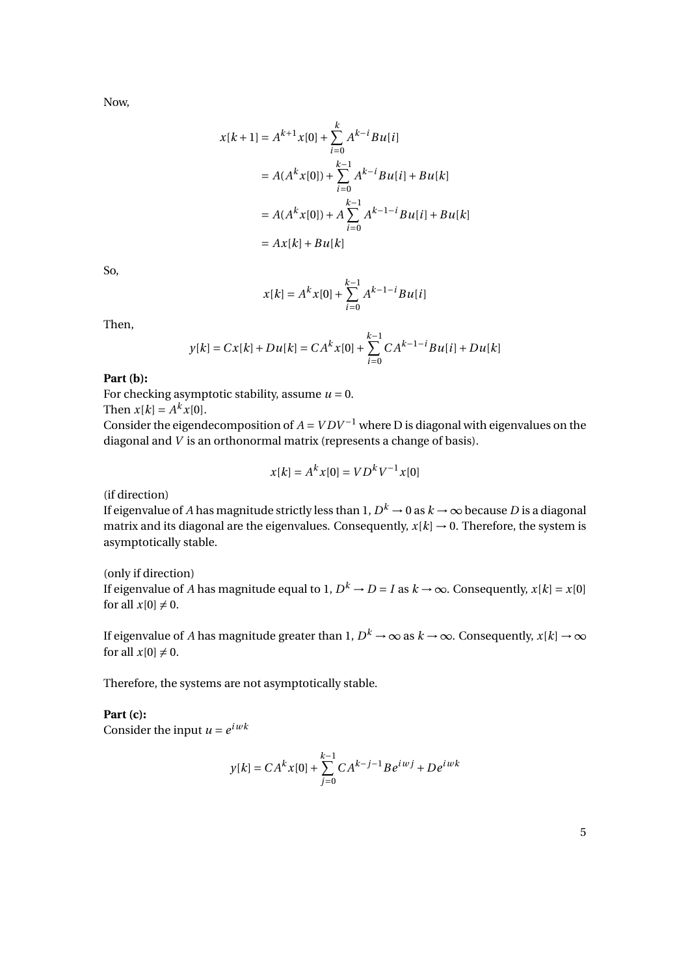Now,

$$
x[k+1] = A^{k+1}x[0] + \sum_{i=0}^{k} A^{k-i}Bu[i]
$$
  
=  $A(A^{k}x[0]) + \sum_{i=0}^{k-1} A^{k-i}Bu[i] + Bu[k]$   
=  $A(A^{k}x[0]) + A \sum_{i=0}^{k-1} A^{k-1-i}Bu[i] + Bu[k]$   
=  $Ax[k] + Bu[k]$ 

So,

$$
x[k] = A^{k}x[0] + \sum_{i=0}^{k-1} A^{k-1-i}Bu[i]
$$

Then,

$$
y[k] = Cx[k] + Du[k] = CA^{k}x[0] + \sum_{i=0}^{k-1} CA^{k-1-i}Bu[i] + Du[k]
$$

#### **Part (b):**

For checking asymptotic stability, assume  $u = 0$ .

Then  $x[k] = A^k x[0]$ .

Consider the eigendecomposition of  $A = VDV^{-1}$  where D is diagonal with eigenvalues on the diagonal and *V* is an orthonormal matrix (represents a change of basis).

$$
x[k] = A^k x[0] = V D^k V^{-1} x[0]
$$

(if direction)

If eigenvalue of *A* has magnitude strictly less than 1,  $D^k \to 0$  as  $k \to \infty$  because  $D$  is a diagonal matrix and its diagonal are the eigenvalues. Consequently,  $x[k] \rightarrow 0$ . Therefore, the system is asymptotically stable.

(only if direction) If eigenvalue of *A* has magnitude equal to 1,  $D^k \to D = I$  as  $k \to \infty$ . Consequently,  $x[k] = x[0]$ for all  $x[0] \neq 0$ .

If eigenvalue of *A* has magnitude greater than 1,  $D^k\to\infty$  as  $k\to\infty.$  Consequently,  $x[k]\to\infty$ for all  $x[0] \neq 0$ .

Therefore, the systems are not asymptotically stable.

**Part (c):** Consider the input  $u = e^{i w k}$ 

$$
y[k] = CA^{k}x[0] + \sum_{j=0}^{k-1} CA^{k-j-1}Be^{iwj} + De^{iwk}
$$

5